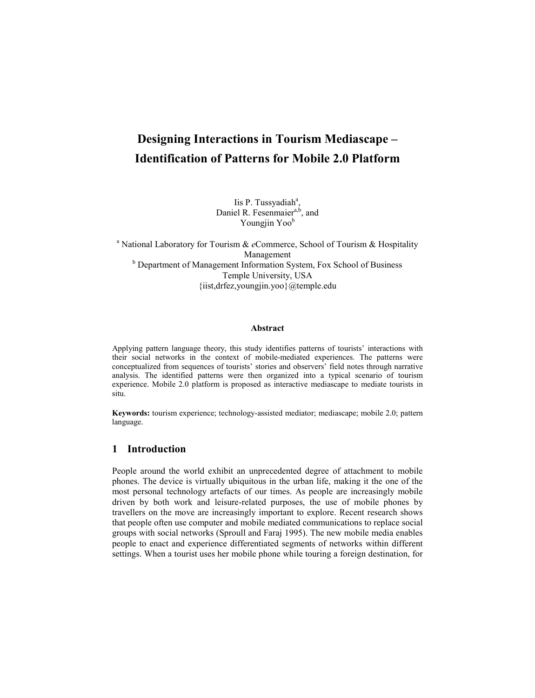# **Designing Interactions in Tourism Mediascape – Identification of Patterns for Mobile 2.0 Platform**

Iis P. Tussyadiah<sup>a</sup>, Daniel R. Fesenmaier<sup>a,b</sup>, and Youngjin Yoo<sup>b</sup>

<sup>a</sup> National Laboratory for Tourism & *e*Commerce, School of Tourism & Hospitality Management <sup>b</sup> Department of Management Information System, Fox School of Business Temple University, USA {iist,drfez,youngjin.yoo}@temple.edu

#### **Abstract**

Applying pattern language theory, this study identifies patterns of tourists' interactions with their social networks in the context of mobile-mediated experiences. The patterns were conceptualized from sequences of tourists' stories and observers' field notes through narrative analysis. The identified patterns were then organized into a typical scenario of tourism experience. Mobile 2.0 platform is proposed as interactive mediascape to mediate tourists in situ.

**Keywords:** tourism experience; technology-assisted mediator; mediascape; mobile 2.0; pattern language.

## **1 Introduction**

People around the world exhibit an unprecedented degree of attachment to mobile phones. The device is virtually ubiquitous in the urban life, making it the one of the most personal technology artefacts of our times. As people are increasingly mobile driven by both work and leisure-related purposes, the use of mobile phones by travellers on the move are increasingly important to explore. Recent research shows that people often use computer and mobile mediated communications to replace social groups with social networks (Sproull and Faraj 1995). The new mobile media enables people to enact and experience differentiated segments of networks within different settings. When a tourist uses her mobile phone while touring a foreign destination, for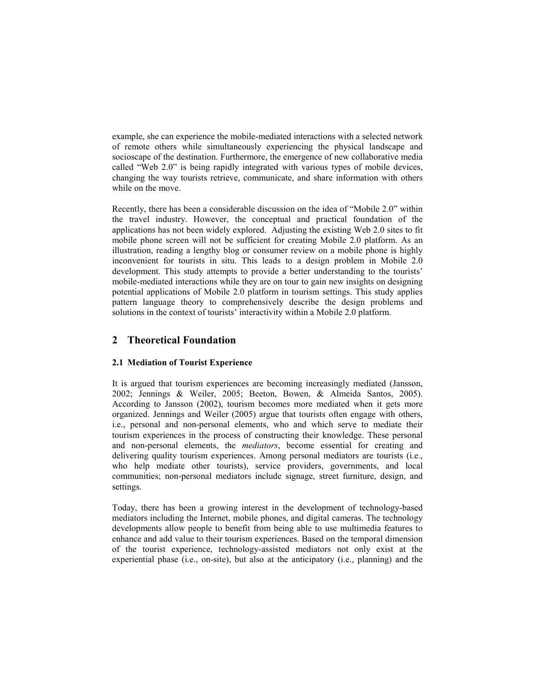example, she can experience the mobile-mediated interactions with a selected network of remote others while simultaneously experiencing the physical landscape and socioscape of the destination. Furthermore, the emergence of new collaborative media called "Web 2.0" is being rapidly integrated with various types of mobile devices, changing the way tourists retrieve, communicate, and share information with others while on the move.

Recently, there has been a considerable discussion on the idea of "Mobile 2.0" within the travel industry. However, the conceptual and practical foundation of the applications has not been widely explored. Adjusting the existing Web 2.0 sites to fit mobile phone screen will not be sufficient for creating Mobile 2.0 platform. As an illustration, reading a lengthy blog or consumer review on a mobile phone is highly inconvenient for tourists in situ. This leads to a design problem in Mobile 2.0 development. This study attempts to provide a better understanding to the tourists' mobile-mediated interactions while they are on tour to gain new insights on designing potential applications of Mobile 2.0 platform in tourism settings. This study applies pattern language theory to comprehensively describe the design problems and solutions in the context of tourists' interactivity within a Mobile 2.0 platform.

# **2 Theoretical Foundation**

# **2.1 Mediation of Tourist Experience**

It is argued that tourism experiences are becoming increasingly mediated (Jansson, 2002; Jennings & Weiler, 2005; Beeton, Bowen, & Almeida Santos, 2005). According to Jansson (2002), tourism becomes more mediated when it gets more organized. Jennings and Weiler (2005) argue that tourists often engage with others, i.e., personal and non-personal elements, who and which serve to mediate their tourism experiences in the process of constructing their knowledge. These personal and non-personal elements, the *mediators*, become essential for creating and delivering quality tourism experiences. Among personal mediators are tourists (i.e., who help mediate other tourists), service providers, governments, and local communities; non-personal mediators include signage, street furniture, design, and settings.

Today, there has been a growing interest in the development of technology-based mediators including the Internet, mobile phones, and digital cameras. The technology developments allow people to benefit from being able to use multimedia features to enhance and add value to their tourism experiences. Based on the temporal dimension of the tourist experience, technology-assisted mediators not only exist at the experiential phase (i.e., on-site), but also at the anticipatory (i.e., planning) and the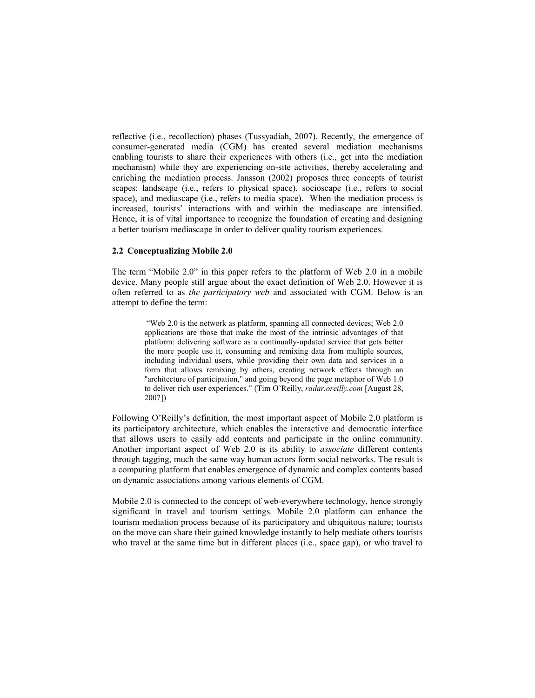reflective (i.e., recollection) phases (Tussyadiah, 2007). Recently, the emergence of consumer-generated media (CGM) has created several mediation mechanisms enabling tourists to share their experiences with others (i.e., get into the mediation mechanism) while they are experiencing on-site activities, thereby accelerating and enriching the mediation process. Jansson (2002) proposes three concepts of tourist scapes: landscape (i.e., refers to physical space), socioscape (i.e., refers to social space), and mediascape (i.e., refers to media space). When the mediation process is increased, tourists' interactions with and within the mediascape are intensified. Hence, it is of vital importance to recognize the foundation of creating and designing a better tourism mediascape in order to deliver quality tourism experiences.

#### **2.2 Conceptualizing Mobile 2.0**

The term "Mobile 2.0" in this paper refers to the platform of Web 2.0 in a mobile device. Many people still argue about the exact definition of Web 2.0. However it is often referred to as *the participatory web* and associated with CGM. Below is an attempt to define the term:

> "Web 2.0 is the network as platform, spanning all connected devices; Web 2.0 applications are those that make the most of the intrinsic advantages of that platform: delivering software as a continually-updated service that gets better the more people use it, consuming and remixing data from multiple sources, including individual users, while providing their own data and services in a form that allows remixing by others, creating network effects through an "architecture of participation," and going beyond the page metaphor of Web 1.0 to deliver rich user experiences." (Tim O'Reilly, *radar.oreilly.com* [August 28, 2007])

Following O'Reilly's definition, the most important aspect of Mobile 2.0 platform is its participatory architecture, which enables the interactive and democratic interface that allows users to easily add contents and participate in the online community. Another important aspect of Web 2.0 is its ability to *associate* different contents through tagging, much the same way human actors form social networks. The result is a computing platform that enables emergence of dynamic and complex contents based on dynamic associations among various elements of CGM.

Mobile 2.0 is connected to the concept of web-everywhere technology, hence strongly significant in travel and tourism settings. Mobile 2.0 platform can enhance the tourism mediation process because of its participatory and ubiquitous nature; tourists on the move can share their gained knowledge instantly to help mediate others tourists who travel at the same time but in different places (i.e., space gap), or who travel to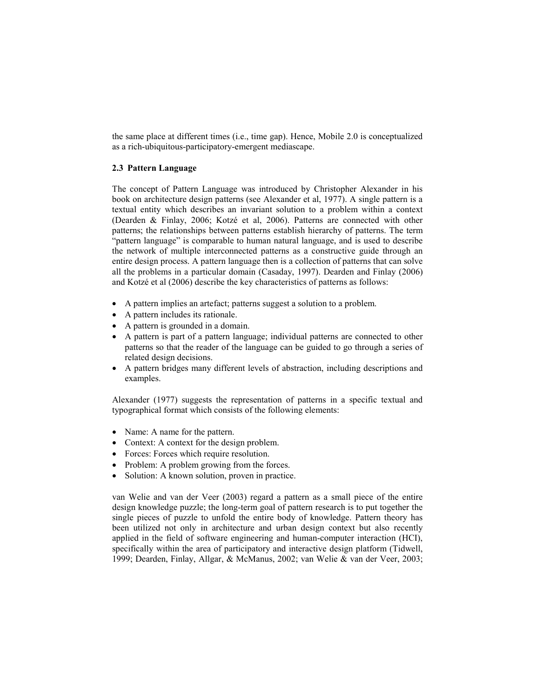the same place at different times (i.e., time gap). Hence, Mobile 2.0 is conceptualized as a rich-ubiquitous-participatory-emergent mediascape.

### **2.3 Pattern Language**

The concept of Pattern Language was introduced by Christopher Alexander in his book on architecture design patterns (see Alexander et al, 1977). A single pattern is a textual entity which describes an invariant solution to a problem within a context (Dearden & Finlay, 2006; Kotzé et al, 2006). Patterns are connected with other patterns; the relationships between patterns establish hierarchy of patterns. The term "pattern language" is comparable to human natural language, and is used to describe the network of multiple interconnected patterns as a constructive guide through an entire design process. A pattern language then is a collection of patterns that can solve all the problems in a particular domain (Casaday, 1997). Dearden and Finlay (2006) and Kotzé et al (2006) describe the key characteristics of patterns as follows:

- A pattern implies an artefact; patterns suggest a solution to a problem.
- A pattern includes its rationale.
- A pattern is grounded in a domain.
- A pattern is part of a pattern language; individual patterns are connected to other patterns so that the reader of the language can be guided to go through a series of related design decisions.
- A pattern bridges many different levels of abstraction, including descriptions and examples.

Alexander (1977) suggests the representation of patterns in a specific textual and typographical format which consists of the following elements:

- Name: A name for the pattern.
- Context: A context for the design problem.
- Forces: Forces which require resolution.
- Problem: A problem growing from the forces.
- Solution: A known solution, proven in practice.

van Welie and van der Veer (2003) regard a pattern as a small piece of the entire design knowledge puzzle; the long-term goal of pattern research is to put together the single pieces of puzzle to unfold the entire body of knowledge. Pattern theory has been utilized not only in architecture and urban design context but also recently applied in the field of software engineering and human-computer interaction (HCI), specifically within the area of participatory and interactive design platform (Tidwell, 1999; Dearden, Finlay, Allgar, & McManus, 2002; van Welie & van der Veer, 2003;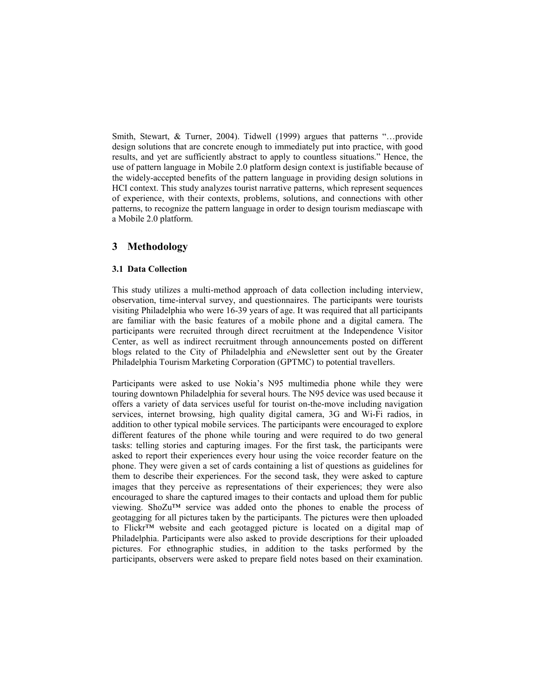Smith, Stewart, & Turner, 2004). Tidwell (1999) argues that patterns "…provide design solutions that are concrete enough to immediately put into practice, with good results, and yet are sufficiently abstract to apply to countless situations." Hence, the use of pattern language in Mobile 2.0 platform design context is justifiable because of the widely-accepted benefits of the pattern language in providing design solutions in HCI context. This study analyzes tourist narrative patterns, which represent sequences of experience, with their contexts, problems, solutions, and connections with other patterns, to recognize the pattern language in order to design tourism mediascape with a Mobile 2.0 platform.

## **3 Methodology**

### **3.1 Data Collection**

This study utilizes a multi-method approach of data collection including interview, observation, time-interval survey, and questionnaires. The participants were tourists visiting Philadelphia who were 16-39 years of age. It was required that all participants are familiar with the basic features of a mobile phone and a digital camera. The participants were recruited through direct recruitment at the Independence Visitor Center, as well as indirect recruitment through announcements posted on different blogs related to the City of Philadelphia and *e*Newsletter sent out by the Greater Philadelphia Tourism Marketing Corporation (GPTMC) to potential travellers.

Participants were asked to use Nokia's N95 multimedia phone while they were touring downtown Philadelphia for several hours. The N95 device was used because it offers a variety of data services useful for tourist on-the-move including navigation services, internet browsing, high quality digital camera, 3G and Wi-Fi radios, in addition to other typical mobile services. The participants were encouraged to explore different features of the phone while touring and were required to do two general tasks: telling stories and capturing images. For the first task, the participants were asked to report their experiences every hour using the voice recorder feature on the phone. They were given a set of cards containing a list of questions as guidelines for them to describe their experiences. For the second task, they were asked to capture images that they perceive as representations of their experiences; they were also encouraged to share the captured images to their contacts and upload them for public viewing. ShoZu™ service was added onto the phones to enable the process of geotagging for all pictures taken by the participants. The pictures were then uploaded to Flickr™ website and each geotagged picture is located on a digital map of Philadelphia. Participants were also asked to provide descriptions for their uploaded pictures. For ethnographic studies, in addition to the tasks performed by the participants, observers were asked to prepare field notes based on their examination.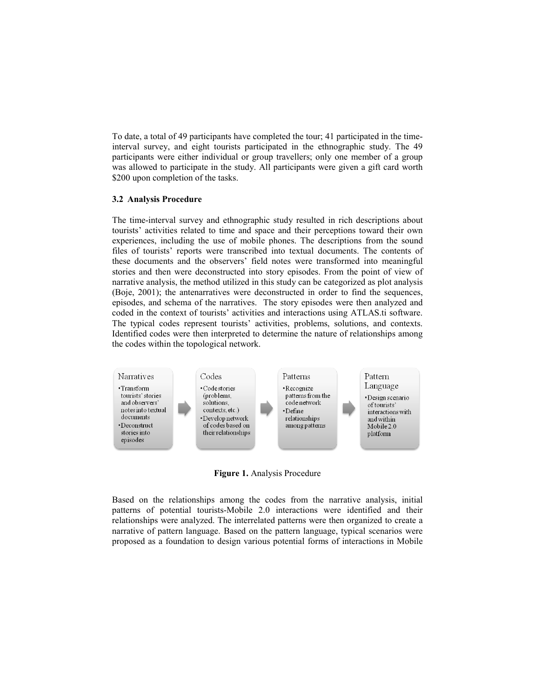To date, a total of 49 participants have completed the tour; 41 participated in the timeinterval survey, and eight tourists participated in the ethnographic study. The 49 participants were either individual or group travellers; only one member of a group was allowed to participate in the study. All participants were given a gift card worth \$200 upon completion of the tasks.

### **3.2 Analysis Procedure**

The time-interval survey and ethnographic study resulted in rich descriptions about tourists' activities related to time and space and their perceptions toward their own experiences, including the use of mobile phones. The descriptions from the sound files of tourists' reports were transcribed into textual documents. The contents of these documents and the observers' field notes were transformed into meaningful stories and then were deconstructed into story episodes. From the point of view of narrative analysis, the method utilized in this study can be categorized as plot analysis (Boje, 2001); the antenarratives were deconstructed in order to find the sequences, episodes, and schema of the narratives. The story episodes were then analyzed and coded in the context of tourists' activities and interactions using ATLAS.ti software. The typical codes represent tourists' activities, problems, solutions, and contexts. Identified codes were then interpreted to determine the nature of relationships among the codes within the topological network.



**Figure 1.** Analysis Procedure

Based on the relationships among the codes from the narrative analysis, initial patterns of potential tourists-Mobile 2.0 interactions were identified and their relationships were analyzed. The interrelated patterns were then organized to create a narrative of pattern language. Based on the pattern language, typical scenarios were proposed as a foundation to design various potential forms of interactions in Mobile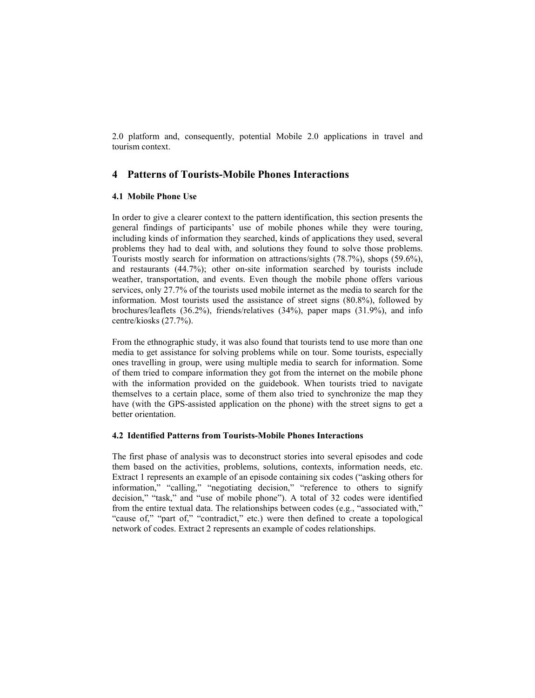2.0 platform and, consequently, potential Mobile 2.0 applications in travel and tourism context.

# **4 Patterns of Tourists-Mobile Phones Interactions**

### **4.1 Mobile Phone Use**

In order to give a clearer context to the pattern identification, this section presents the general findings of participants' use of mobile phones while they were touring, including kinds of information they searched, kinds of applications they used, several problems they had to deal with, and solutions they found to solve those problems. Tourists mostly search for information on attractions/sights (78.7%), shops (59.6%), and restaurants (44.7%); other on-site information searched by tourists include weather, transportation, and events. Even though the mobile phone offers various services, only 27.7% of the tourists used mobile internet as the media to search for the information. Most tourists used the assistance of street signs (80.8%), followed by brochures/leaflets (36.2%), friends/relatives (34%), paper maps (31.9%), and info centre/kiosks (27.7%).

From the ethnographic study, it was also found that tourists tend to use more than one media to get assistance for solving problems while on tour. Some tourists, especially ones travelling in group, were using multiple media to search for information. Some of them tried to compare information they got from the internet on the mobile phone with the information provided on the guidebook. When tourists tried to navigate themselves to a certain place, some of them also tried to synchronize the map they have (with the GPS-assisted application on the phone) with the street signs to get a better orientation.

### **4.2 Identified Patterns from Tourists-Mobile Phones Interactions**

The first phase of analysis was to deconstruct stories into several episodes and code them based on the activities, problems, solutions, contexts, information needs, etc. Extract 1 represents an example of an episode containing six codes ("asking others for information," "calling," "negotiating decision," "reference to others to signify decision," "task," and "use of mobile phone"). A total of 32 codes were identified from the entire textual data. The relationships between codes (e.g., "associated with," "cause of," "part of," "contradict," etc.) were then defined to create a topological network of codes. Extract 2 represents an example of codes relationships.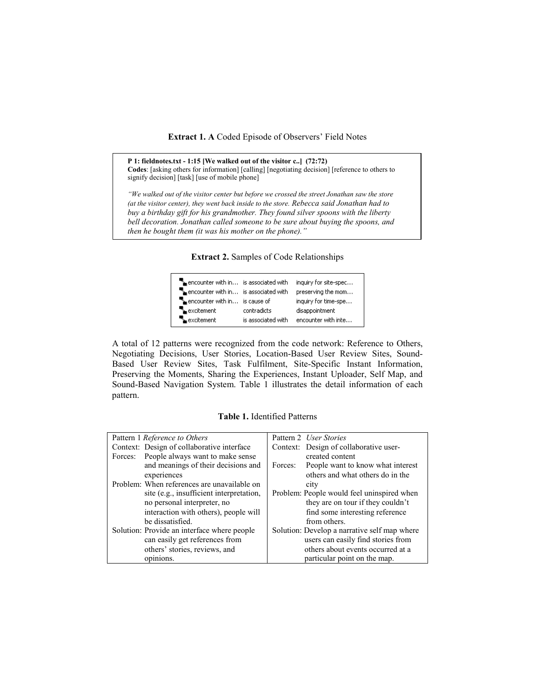#### **Extract 1. A** Coded Episode of Observers' Field Notes

**P 1: fieldnotes.txt - 1:15 [We walked out of the visitor c..] (72:72) Codes**: [asking others for information] [calling] [negotiating decision] [reference to others to signify decision] [task] [use of mobile phone]

*"We walked out of the visitor center but before we crossed the street Jonathan saw the store (at the visitor center), they went back inside to the store. Rebecca said Jonathan had to buy a birthday gift for his grandmother. They found silver spoons with the liberty bell decoration. Jonathan called someone to be sure about buying the spoons, and then he bought them (it was his mother on the phone)."*

**Extract 2.** Samples of Code Relationships

| $\mathbb{F}_{\mathbb{Z}}$ encounter with in is associated with<br>encounter with in is associated with |                    | inquiry for site-spec<br>preserving the mom |
|--------------------------------------------------------------------------------------------------------|--------------------|---------------------------------------------|
| $\mathbb{F}_{\mathbf{a}}$ encounter with in is cause of                                                |                    | inquiry for time-spe                        |
| $\mathbb{k}$ excitement                                                                                | contradicts        | disappointment                              |
| excitement                                                                                             | is associated with | encounter with inte                         |

A total of 12 patterns were recognized from the code network: Reference to Others, Negotiating Decisions, User Stories, Location-Based User Review Sites, Sound-Based User Review Sites, Task Fulfilment, Site-Specific Instant Information, Preserving the Moments, Sharing the Experiences, Instant Uploader, Self Map, and Sound-Based Navigation System. Table 1 illustrates the detail information of each pattern.

### **Table 1.** Identified Patterns

| Pattern 1 Reference to Others               | Pattern 2 <i>User Stories</i>                |
|---------------------------------------------|----------------------------------------------|
| Context: Design of collaborative interface  | Context: Design of collaborative user-       |
| People always want to make sense<br>Forces: | created content                              |
| and meanings of their decisions and         | People want to know what interest<br>Forces: |
| experiences                                 | others and what others do in the             |
| Problem: When references are unavailable on | city                                         |
| site (e.g., insufficient interpretation,    | Problem: People would feel uninspired when   |
| no personal interpreter, no                 | they are on tour if they couldn't            |
| interaction with others), people will       | find some interesting reference              |
| be dissatisfied.                            | from others.                                 |
| Solution: Provide an interface where people | Solution: Develop a narrative self map where |
| can easily get references from              | users can easily find stories from           |
| others' stories, reviews, and               | others about events occurred at a            |
| opinions.                                   | particular point on the map.                 |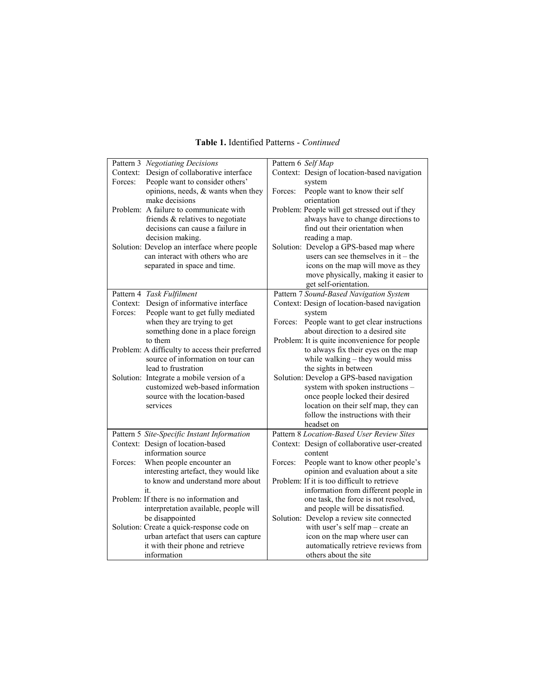|          | Pattern 3 Negotiating Decisions<br>Context: Design of collaborative interface |         | Pattern 6 Self Map<br>Context: Design of location-based navigation         |
|----------|-------------------------------------------------------------------------------|---------|----------------------------------------------------------------------------|
| Forces:  | People want to consider others'                                               |         | system                                                                     |
|          | opinions, needs, & wants when they<br>make decisions                          | Forces: | People want to know their self<br>orientation                              |
|          | Problem: A failure to communicate with                                        |         | Problem: People will get stressed out if they                              |
|          | friends & relatives to negotiate                                              |         | always have to change directions to                                        |
|          | decisions can cause a failure in<br>decision making.                          |         | find out their orientation when<br>reading a map.                          |
|          | Solution: Develop an interface where people                                   |         | Solution: Develop a GPS-based map where                                    |
|          | can interact with others who are                                              |         | users can see themselves in $it$ – the                                     |
|          | separated in space and time.                                                  |         | icons on the map will move as they                                         |
|          |                                                                               |         | move physically, making it easier to<br>get self-orientation.              |
|          | Pattern 4 Task Fulfilment                                                     |         | Pattern 7 Sound-Based Navigation System                                    |
| Context: | Design of informative interface                                               |         | Context: Design of location-based navigation                               |
| Forces:  | People want to get fully mediated                                             | Forces: | system                                                                     |
|          | when they are trying to get<br>something done in a place foreign              |         | People want to get clear instructions<br>about direction to a desired site |
|          | to them                                                                       |         | Problem: It is quite inconvenience for people                              |
|          | Problem: A difficulty to access their preferred                               |         | to always fix their eyes on the map                                        |
|          | source of information on tour can<br>lead to frustration                      |         | while walking - they would miss                                            |
|          | Solution: Integrate a mobile version of a                                     |         | the sights in between<br>Solution: Develop a GPS-based navigation          |
|          | customized web-based information                                              |         | system with spoken instructions -                                          |
|          | source with the location-based                                                |         | once people locked their desired                                           |
|          | services                                                                      |         | location on their self map, they can<br>follow the instructions with their |
|          |                                                                               |         | headset on                                                                 |
|          | Pattern 5 Site-Specific Instant Information                                   |         | Pattern 8 Location-Based User Review Sites                                 |
|          | Context: Design of location-based<br>information source                       |         | Context: Design of collaborative user-created<br>content                   |
| Forces:  | When people encounter an                                                      | Forces: | People want to know other people's                                         |
|          | interesting artefact, they would like                                         |         | opinion and evaluation about a site                                        |
|          | to know and understand more about                                             |         | Problem: If it is too difficult to retrieve                                |
|          | it.<br>Problem: If there is no information and                                |         | information from different people in                                       |
|          | interpretation available, people will                                         |         | one task, the force is not resolved,<br>and people will be dissatisfied.   |
|          | be disappointed                                                               |         | Solution: Develop a review site connected                                  |
|          | Solution: Create a quick-response code on                                     |         | with user's self map - create an                                           |
|          | urban artefact that users can capture                                         |         | icon on the map where user can                                             |
|          | it with their phone and retrieve<br>information                               |         | automatically retrieve reviews from<br>others about the site               |
|          |                                                                               |         |                                                                            |

# **Table 1.** Identified Patterns - *Continued*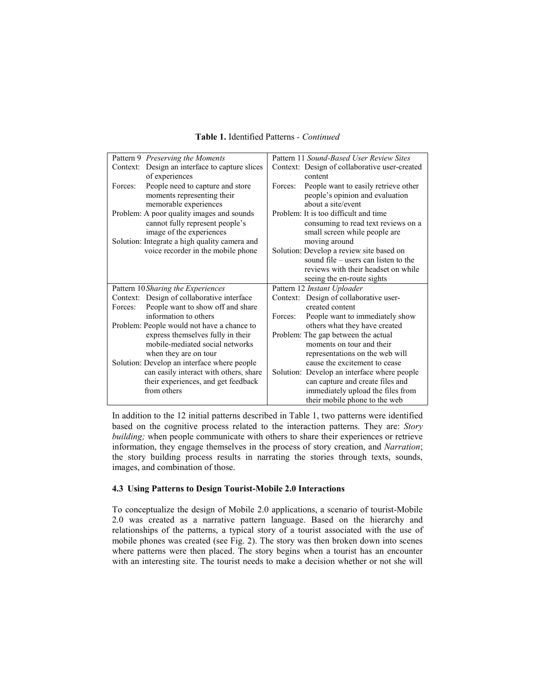| Pattern 9 Preserving the Moments                  | Pattern 11 Sound-Based User Review Sites        |
|---------------------------------------------------|-------------------------------------------------|
| Design an interface to capture slices<br>Context: | Context: Design of collaborative user-created   |
| of experiences                                    | content                                         |
| People need to capture and store<br>Forces:       | People want to easily retrieve other<br>Forces: |
| moments representing their                        | people's opinion and evaluation                 |
| memorable experiences                             | about a site/event                              |
| Problem: A poor quality images and sounds         | Problem: It is too difficult and time           |
| cannot fully represent people's                   | consuming to read text reviews on a             |
| image of the experiences                          | small screen while people are                   |
| Solution: Integrate a high quality camera and     | moving around                                   |
| voice recorder in the mobile phone                | Solution: Develop a review site based on        |
|                                                   | sound file – users can listen to the            |
|                                                   | reviews with their headset on while             |
|                                                   | seeing the en-route sights                      |
| Pattern 10 Sharing the Experiences                | Pattern 12 Instant Uploader                     |
| Context: Design of collaborative interface        | Context: Design of collaborative user-          |
| People want to show off and share<br>Forces:      | created content                                 |
| information to others                             | People want to immediately show<br>Forces:      |
| Problem: People would not have a chance to        | others what they have created                   |
| express themselves fully in their                 | Problem: The gap between the actual             |
| mobile-mediated social networks                   | moments on tour and their                       |
| when they are on tour                             | representations on the web will                 |
| Solution: Develop an interface where people       | cause the excitement to cease                   |
| can easily interact with others, share            | Solution: Develop an interface where people     |
| their experiences, and get feedback               | can capture and create files and                |
| from others                                       | immediately upload the files from               |
|                                                   | their mobile phone to the web                   |

### **Table 1.** Identified Patterns *- Continued*

In addition to the 12 initial patterns described in Table 1, two patterns were identified based on the cognitive process related to the interaction patterns. They are: *Story building;* when people communicate with others to share their experiences or retrieve information, they engage themselves in the process of story creation, and *Narration*; the story building process results in narrating the stories through texts, sounds, images, and combination of those.

#### **4.3 Using Patterns to Design Tourist-Mobile 2.0 Interactions**

To conceptualize the design of Mobile 2.0 applications, a scenario of tourist-Mobile 2.0 was created as a narrative pattern language. Based on the hierarchy and relationships of the patterns, a typical story of a tourist associated with the use of mobile phones was created (see Fig. 2). The story was then broken down into scenes where patterns were then placed. The story begins when a tourist has an encounter with an interesting site. The tourist needs to make a decision whether or not she will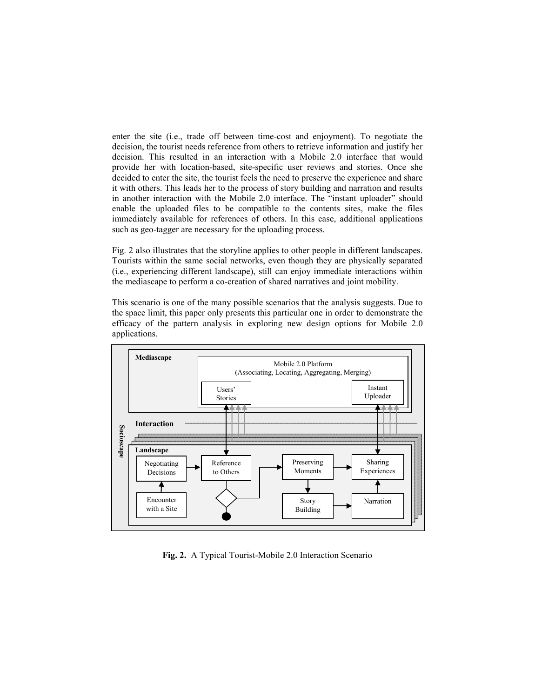enter the site (i.e., trade off between time-cost and enjoyment). To negotiate the decision, the tourist needs reference from others to retrieve information and justify her decision. This resulted in an interaction with a Mobile 2.0 interface that would provide her with location-based, site-specific user reviews and stories. Once she decided to enter the site, the tourist feels the need to preserve the experience and share it with others. This leads her to the process of story building and narration and results in another interaction with the Mobile 2.0 interface. The "instant uploader" should enable the uploaded files to be compatible to the contents sites, make the files immediately available for references of others. In this case, additional applications such as geo-tagger are necessary for the uploading process.

Fig. 2 also illustrates that the storyline applies to other people in different landscapes. Tourists within the same social networks, even though they are physically separated (i.e., experiencing different landscape), still can enjoy immediate interactions within the mediascape to perform a co-creation of shared narratives and joint mobility.

This scenario is one of the many possible scenarios that the analysis suggests. Due to the space limit, this paper only presents this particular one in order to demonstrate the efficacy of the pattern analysis in exploring new design options for Mobile 2.0 applications.



**Fig. 2.** A Typical Tourist-Mobile 2.0 Interaction Scenario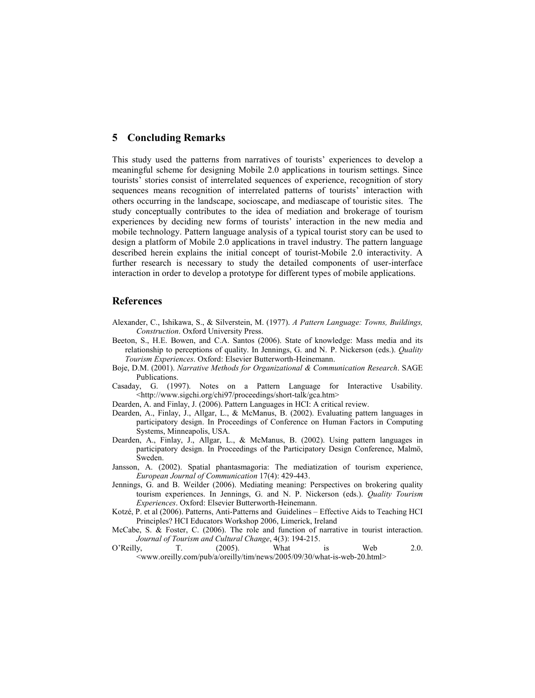### **5 Concluding Remarks**

This study used the patterns from narratives of tourists' experiences to develop a meaningful scheme for designing Mobile 2.0 applications in tourism settings. Since tourists' stories consist of interrelated sequences of experience, recognition of story sequences means recognition of interrelated patterns of tourists' interaction with others occurring in the landscape, socioscape, and mediascape of touristic sites. The study conceptually contributes to the idea of mediation and brokerage of tourism experiences by deciding new forms of tourists' interaction in the new media and mobile technology. Pattern language analysis of a typical tourist story can be used to design a platform of Mobile 2.0 applications in travel industry. The pattern language described herein explains the initial concept of tourist-Mobile 2.0 interactivity. A further research is necessary to study the detailed components of user-interface interaction in order to develop a prototype for different types of mobile applications.

### **References**

- Alexander, C., Ishikawa, S., & Silverstein, M. (1977). *A Pattern Language: Towns, Buildings, Construction*. Oxford University Press.
- Beeton, S., H.E. Bowen, and C.A. Santos (2006). State of knowledge: Mass media and its relationship to perceptions of quality. In Jennings, G. and N. P. Nickerson (eds.). *Quality Tourism Experiences*. Oxford: Elsevier Butterworth-Heinemann.
- Boje, D.M. (2001). *Narrative Methods for Organizational & Communication Research*. SAGE Publications.
- Casaday, G. (1997). Notes on a Pattern Language for Interactive Usability. <http://www.sigchi.org/chi97/proceedings/short-talk/gca.htm>
- Dearden, A. and Finlay, J. (2006). Pattern Languages in HCI: A critical review.
- Dearden, A., Finlay, J., Allgar, L., & McManus, B. (2002). Evaluating pattern languages in participatory design. In Proceedings of Conference on Human Factors in Computing Systems, Minneapolis, USA.
- Dearden, A., Finlay, J., Allgar, L., & McManus, B. (2002). Using pattern languages in participatory design. In Proceedings of the Participatory Design Conference, Malmö, Sweden.
- Jansson, A. (2002). Spatial phantasmagoria: The mediatization of tourism experience, *European Journal of Communication* 17(4): 429-443.
- Jennings, G. and B. Weilder (2006). Mediating meaning: Perspectives on brokering quality tourism experiences. In Jennings, G. and N. P. Nickerson (eds.). *Quality Tourism Experiences*. Oxford: Elsevier Butterworth-Heinemann.
- Kotzé, P. et al (2006). Patterns, Anti-Patterns and Guidelines Effective Aids to Teaching HCI Principles? HCI Educators Workshop 2006, Limerick, Ireland
- McCabe, S. & Foster, C. (2006). The role and function of narrative in tourist interaction. *Journal of Tourism and Cultural Change*, 4(3): 194-215.

O'Reilly, T. (2005). What is Web 2.0. <www.oreilly.com/pub/a/oreilly/tim/news/2005/09/30/what-is-web-20.html>